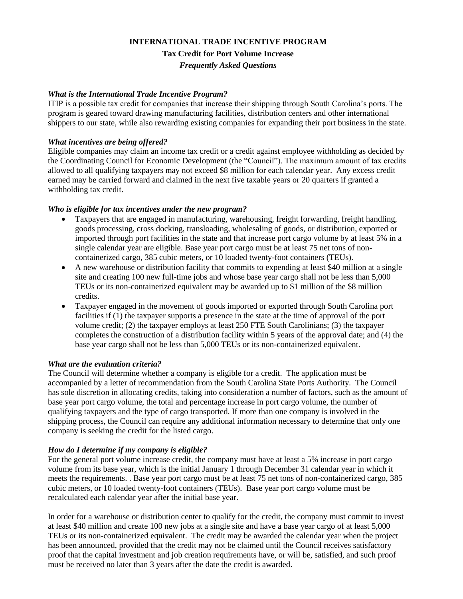# **INTERNATIONAL TRADE INCENTIVE PROGRAM Tax Credit for Port Volume Increase** *Frequently Asked Questions*

## *What is the International Trade Incentive Program?*

ITIP is a possible tax credit for companies that increase their shipping through South Carolina's ports. The program is geared toward drawing manufacturing facilities, distribution centers and other international shippers to our state, while also rewarding existing companies for expanding their port business in the state.

## *What incentives are being offered?*

Eligible companies may claim an income tax credit or a credit against employee withholding as decided by the Coordinating Council for Economic Development (the "Council"). The maximum amount of tax credits allowed to all qualifying taxpayers may not exceed \$8 million for each calendar year. Any excess credit earned may be carried forward and claimed in the next five taxable years or 20 quarters if granted a withholding tax credit.

#### *Who is eligible for tax incentives under the new program?*

- Taxpayers that are engaged in manufacturing, warehousing, freight forwarding, freight handling, goods processing, cross docking, transloading, wholesaling of goods, or distribution, exported or imported through port facilities in the state and that increase port cargo volume by at least 5% in a single calendar year are eligible. Base year port cargo must be at least 75 net tons of noncontainerized cargo, 385 cubic meters, or 10 loaded twenty-foot containers (TEUs).
- A new warehouse or distribution facility that commits to expending at least \$40 million at a single site and creating 100 new full-time jobs and whose base year cargo shall not be less than 5,000 TEUs or its non-containerized equivalent may be awarded up to \$1 million of the \$8 million credits.
- Taxpayer engaged in the movement of goods imported or exported through South Carolina port facilities if (1) the taxpayer supports a presence in the state at the time of approval of the port volume credit; (2) the taxpayer employs at least 250 FTE South Carolinians; (3) the taxpayer completes the construction of a distribution facility within 5 years of the approval date; and (4) the base year cargo shall not be less than 5,000 TEUs or its non-containerized equivalent.

## *What are the evaluation criteria?*

The Council will determine whether a company is eligible for a credit. The application must be accompanied by a letter of recommendation from the South Carolina State Ports Authority. The Council has sole discretion in allocating credits, taking into consideration a number of factors, such as the amount of base year port cargo volume, the total and percentage increase in port cargo volume, the number of qualifying taxpayers and the type of cargo transported. If more than one company is involved in the shipping process, the Council can require any additional information necessary to determine that only one company is seeking the credit for the listed cargo.

## *How do I determine if my company is eligible?*

For the general port volume increase credit, the company must have at least a 5% increase in port cargo volume from its base year, which is the initial January 1 through December 31 calendar year in which it meets the requirements. . Base year port cargo must be at least 75 net tons of non-containerized cargo, 385 cubic meters, or 10 loaded twenty-foot containers (TEUs). Base year port cargo volume must be recalculated each calendar year after the initial base year.

In order for a warehouse or distribution center to qualify for the credit, the company must commit to invest at least \$40 million and create 100 new jobs at a single site and have a base year cargo of at least 5,000 TEUs or its non-containerized equivalent. The credit may be awarded the calendar year when the project has been announced, provided that the credit may not be claimed until the Council receives satisfactory proof that the capital investment and job creation requirements have, or will be, satisfied, and such proof must be received no later than 3 years after the date the credit is awarded.